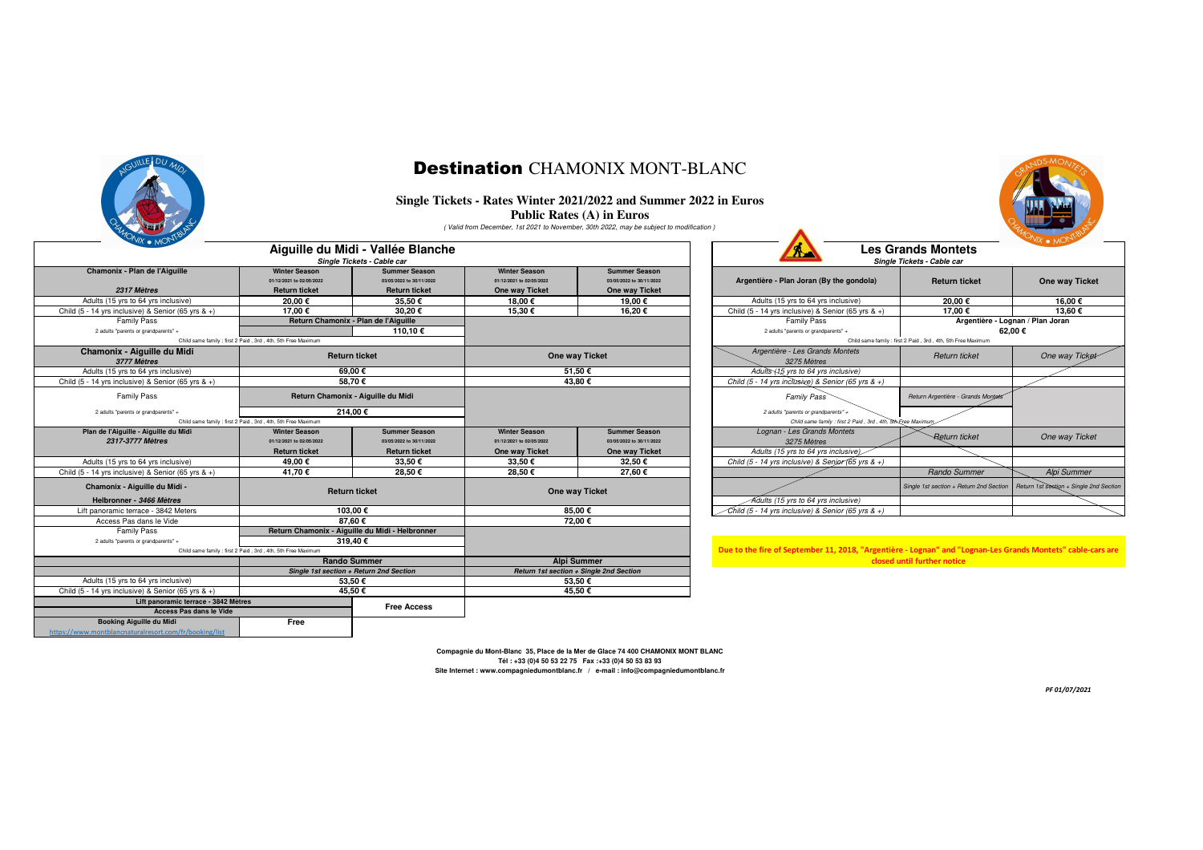

#### Destination CHAMONIX MONT-BLANC

#### **Single Tickets - Rates Winter 2021/2022 and Summer 2022 in Euros**

**Public Rates (A) in Euros**

( Valid from December, 1st 2021 to November, 30th 2022, may be subject to modification )

| $'$ WX $\bullet$ MOND<br>Aiguille du Midi - Vallée Blanche<br>Single Tickets - Cable car |                                                                          |                                                                          |                                                                    |                                                                    | $\mathbf{A}$                                                                                                | <b>Les Grands Montets</b><br>Single Tickets - Cable car      | $'$ wx $\bullet$ MU'                                                              |
|------------------------------------------------------------------------------------------|--------------------------------------------------------------------------|--------------------------------------------------------------------------|--------------------------------------------------------------------|--------------------------------------------------------------------|-------------------------------------------------------------------------------------------------------------|--------------------------------------------------------------|-----------------------------------------------------------------------------------|
| Chamonix - Plan de l'Aiguille<br>2317 Mètres                                             | <b>Winter Season</b><br>01/12/2021 to 02/05/2022<br><b>Return ticket</b> | <b>Summer Season</b><br>03/05/2022 to 30/11/2022<br><b>Return ticket</b> | <b>Winter Season</b><br>01/12/2021 to 02/05/2022<br>One way Ticket | <b>Summer Season</b><br>03/05/2022 to 30/11/2022<br>One way Ticket | Argentière - Plan Joran (By the gondola)                                                                    | <b>Return ticket</b>                                         | One way Ticket                                                                    |
| Adults (15 yrs to 64 yrs inclusive)                                                      | 20.00€                                                                   | 35.50€                                                                   | 18,00 €                                                            | 19,00€                                                             | Adults (15 yrs to 64 yrs inclusive)                                                                         | 20,00€                                                       | 16,00€                                                                            |
| Child $(5 - 14$ yrs inclusive) & Senior $(65$ yrs & +)                                   | 17.00€                                                                   | 30.20€                                                                   | 15.30€                                                             | 16.20€                                                             | Child (5 - 14 yrs inclusive) & Senior (65 yrs & +)                                                          | 17.00€                                                       | 13.60€                                                                            |
| <b>Family Pass</b>                                                                       | Return Chamonix - Plan de l'Aiguille                                     |                                                                          |                                                                    |                                                                    | <b>Family Pass</b>                                                                                          |                                                              | Argentière - Lognan / Plan Joran                                                  |
| 2 adults "parents or grandparents" +                                                     |                                                                          | 110,10€                                                                  |                                                                    |                                                                    | 2 adults "parents or grandparents" +                                                                        |                                                              | 62.00€                                                                            |
|                                                                                          | Child same family : first 2 Paid, 3rd, 4th, 5th Free Maximum             |                                                                          |                                                                    |                                                                    |                                                                                                             | Child same family : first 2 Paid, 3rd, 4th, 5th Free Maximum |                                                                                   |
| Chamonix - Aiguille du Midi<br>3777 Mètres                                               | <b>Return ticket</b>                                                     |                                                                          | One way Ticket                                                     |                                                                    | Argentière - Les Grands Montets<br>3275 Mètres                                                              | Return ticket                                                | One way Ticket                                                                    |
| Adults (15 yrs to 64 yrs inclusive)                                                      |                                                                          | 69.00 €                                                                  | 51.50€                                                             |                                                                    | Adults (15 yrs to 64 yrs inclusive)                                                                         |                                                              |                                                                                   |
| Child $(5 - 14$ yrs inclusive) & Senior $(65$ yrs & +)                                   |                                                                          | 58.70€                                                                   |                                                                    | 43.80€                                                             | Child (5 - 14 yrs inclusive) & Senior (65 yrs & +)                                                          |                                                              |                                                                                   |
| <b>Family Pass</b>                                                                       |                                                                          | Return Chamonix - Aiguille du Midi                                       |                                                                    |                                                                    | <b>Family Pass</b>                                                                                          | Return Argentière - Grands Montets                           |                                                                                   |
|                                                                                          | 214.00€<br>2 adults "parents or grandparents" +                          |                                                                          |                                                                    |                                                                    | 2 adults "parents or grandparents" +                                                                        |                                                              |                                                                                   |
| Child same family : first 2 Paid, 3rd, 4th, 5th Free Maximum                             |                                                                          |                                                                          |                                                                    | Child same family : first 2 Paid, 3rd, 4th, 5th-Free Maximum,      |                                                                                                             |                                                              |                                                                                   |
| Plan de l'Aiguille - Aiguille du Midi                                                    | <b>Winter Season</b>                                                     | <b>Summer Season</b>                                                     | <b>Winter Season</b>                                               | <b>Summer Season</b>                                               | Lognan - Les Grands Montets                                                                                 | <b>Return ticket</b>                                         | One way Ticket                                                                    |
| 2317-3777 Mètres                                                                         | 01/12/2021 to 02/05/2022                                                 | 03/05/2022 to 30/11/2022                                                 | 01/12/2021 to 02/05/2022                                           | 03/05/2022 to 30/11/2022                                           | 3275 Mètres                                                                                                 |                                                              |                                                                                   |
| Adults (15 yrs to 64 yrs inclusive)                                                      | <b>Return ticket</b>                                                     | <b>Return ticket</b>                                                     | One way Ticket                                                     | One way Ticket                                                     | Adults (15 yrs to 64 yrs inclusive).                                                                        |                                                              |                                                                                   |
|                                                                                          | 49.00€                                                                   | 33.50€                                                                   | 33.50€                                                             | 32.50€<br>27,60 $\epsilon$                                         | Child (5 - 14 yrs inclusive) & Senior (65 yrs & +)                                                          |                                                              |                                                                                   |
| Child $(5 - 14$ yrs inclusive) & Senior $(65$ yrs & +)                                   | 41,70 €                                                                  | 28,50€                                                                   | 28,50€                                                             |                                                                    |                                                                                                             | Rando Summer                                                 | Alpi Summer                                                                       |
| Chamonix - Aiguille du Midi -                                                            | <b>Return ticket</b>                                                     |                                                                          | One way Ticket                                                     |                                                                    |                                                                                                             |                                                              | Single 1st section + Return 2nd Section   Return 1st section + Single 2nd Section |
| Helbronner - 3466 Mètres                                                                 |                                                                          |                                                                          |                                                                    |                                                                    | Adults (15 yrs to 64 yrs inclusive)                                                                         |                                                              |                                                                                   |
| Lift panoramic terrace - 3842 Meters                                                     | 103.00€                                                                  |                                                                          | 85.00€<br>72.00€                                                   |                                                                    | Child (5 - 14 yrs inclusive) & Senior (65 yrs & +)                                                          |                                                              |                                                                                   |
| Access Pas dans le Vide                                                                  | 87.60€<br>Return Chamonix - Aiguille du Midi - Helbronner                |                                                                          |                                                                    |                                                                    |                                                                                                             |                                                              |                                                                                   |
| <b>Family Pass</b><br>2 adults "parents or grandparents" +                               |                                                                          |                                                                          |                                                                    |                                                                    |                                                                                                             |                                                              |                                                                                   |
|                                                                                          |                                                                          | 319,40€                                                                  |                                                                    |                                                                    | Due to the fire of September 11, 2018, "Argentière - Lognan" and "Lognan-Les Grands Montets" cable-cars are |                                                              |                                                                                   |
| Child same family : first 2 Paid, 3rd, 4th, 5th Free Maximum<br><b>Rando Summer</b>      |                                                                          |                                                                          | <b>Alpi Summer</b>                                                 |                                                                    | closed until further notice                                                                                 |                                                              |                                                                                   |
| Single 1st section + Return 2nd Section                                                  |                                                                          |                                                                          | Return 1st section + Single 2nd Section                            |                                                                    |                                                                                                             |                                                              |                                                                                   |
| Adults (15 yrs to 64 yrs inclusive)                                                      |                                                                          | 53.50€                                                                   | 53,50€                                                             |                                                                    |                                                                                                             |                                                              |                                                                                   |
| Child $(5 - 14$ yrs inclusive) & Senior $(65$ yrs & +)                                   |                                                                          | 45.50€                                                                   | 45,50€                                                             |                                                                    |                                                                                                             |                                                              |                                                                                   |
| Lift panoramic terrace - 3842 Mètres                                                     |                                                                          |                                                                          |                                                                    |                                                                    |                                                                                                             |                                                              |                                                                                   |
| Access Pas dans le Vide                                                                  |                                                                          | <b>Free Access</b>                                                       |                                                                    |                                                                    |                                                                                                             |                                                              |                                                                                   |
| Booking Aiguille du Midi                                                                 | Free                                                                     |                                                                          |                                                                    |                                                                    |                                                                                                             |                                                              |                                                                                   |
| https://www.montblancnaturalresort.com/fr/booking/list                                   |                                                                          |                                                                          |                                                                    |                                                                    |                                                                                                             |                                                              |                                                                                   |

|                |                                                                    | valid from December, 1st 2021 to November, 30th 2022, may be subject to modification ) |                                                                                                                            |                                                         |                                         |
|----------------|--------------------------------------------------------------------|----------------------------------------------------------------------------------------|----------------------------------------------------------------------------------------------------------------------------|---------------------------------------------------------|-----------------------------------------|
| е              |                                                                    |                                                                                        | А                                                                                                                          | <b>Les Grands Montets</b><br>Single Tickets - Cable car |                                         |
|                | <b>Winter Season</b><br>01/12/2021 to 02/05/2022<br>One way Ticket | <b>Summer Season</b><br>03/05/2022 to 30/11/2022<br>One way Ticket                     | Argentière - Plan Joran (By the gondola)                                                                                   | <b>Return ticket</b>                                    | One way Ticket                          |
|                | 18.00€                                                             | 19.00€                                                                                 | Adults (15 yrs to 64 yrs inclusive)                                                                                        | 20.00€                                                  | 16.00€                                  |
|                | 15,30€                                                             | 16,20€                                                                                 | Child (5 - 14 yrs inclusive) & Senior (65 yrs & +)                                                                         | 17,00 €                                                 | 13,60€                                  |
|                |                                                                    |                                                                                        | <b>Family Pass</b><br>2 adults "parents or grandparents" +<br>Child same family : first 2 Paid, 3rd, 4th, 5th Free Maximum | Argentière - Lognan / Plan Joran<br>62.00€              |                                         |
| One way Ticket |                                                                    |                                                                                        | Argentière - Les Grands Montets<br>3275 Mètres                                                                             | Return ticket                                           | One way Ticket                          |
| 51.50€         |                                                                    |                                                                                        | Adults (15 yrs to 64 yrs inclusive)                                                                                        |                                                         |                                         |
| 43.80€         |                                                                    |                                                                                        | Child (5 - 14 yrs inclusive) & Senior (65 yrs & +)                                                                         |                                                         |                                         |
|                |                                                                    |                                                                                        | <b>Family Pass</b>                                                                                                         | Return Argentière - Grands Montets                      |                                         |
|                |                                                                    |                                                                                        | 2 adults "parents or grandparents" +<br>Child same family : first 2 Paid, 3rd, 4th, 5th-Free Maximum.                      |                                                         |                                         |
|                | <b>Winter Season</b><br>01/12/2021 to 02/05/2022                   | <b>Summer Season</b><br>03/05/2022 to 30/11/2022                                       | Lognan - Les Grands Montets<br>3275 Mètres                                                                                 | <b>Return ticket</b>                                    | One way Ticket                          |
|                | One way Ticket                                                     | One way Ticket                                                                         | Adults (15 yrs to 64 yrs inclusive)                                                                                        |                                                         |                                         |
|                | 33.50€                                                             | 32.50€                                                                                 | Child (5 - 14 yrs inclusive) & Senjor (65 yrs & +)                                                                         |                                                         |                                         |
|                | 28,50€                                                             | 27,60€                                                                                 |                                                                                                                            | Rando Summer                                            | Alpi Summer                             |
| One way Ticket |                                                                    |                                                                                        |                                                                                                                            | Single 1st section + Return 2nd Section                 | Return 1st section + Single 2nd Section |
|                |                                                                    |                                                                                        | Adults (15 yrs to 64 yrs inclusive)                                                                                        |                                                         |                                         |
| 85,00€         |                                                                    |                                                                                        | Child (5 - 14 yrs inclusive) & Senior (65 yrs & +)                                                                         |                                                         |                                         |

**Compagnie du Mont-Blanc 35, Place de la Mer de Glace 74 400 CHAMONIX MONT BLANCTél : +33 (0)4 50 53 22 75 Fax :+33 (0)4 50 53 83 93Site Internet : www.compagniedumontblanc.fr / e-mail : info@compagniedumontblanc.fr**

*PF 01/07/2021*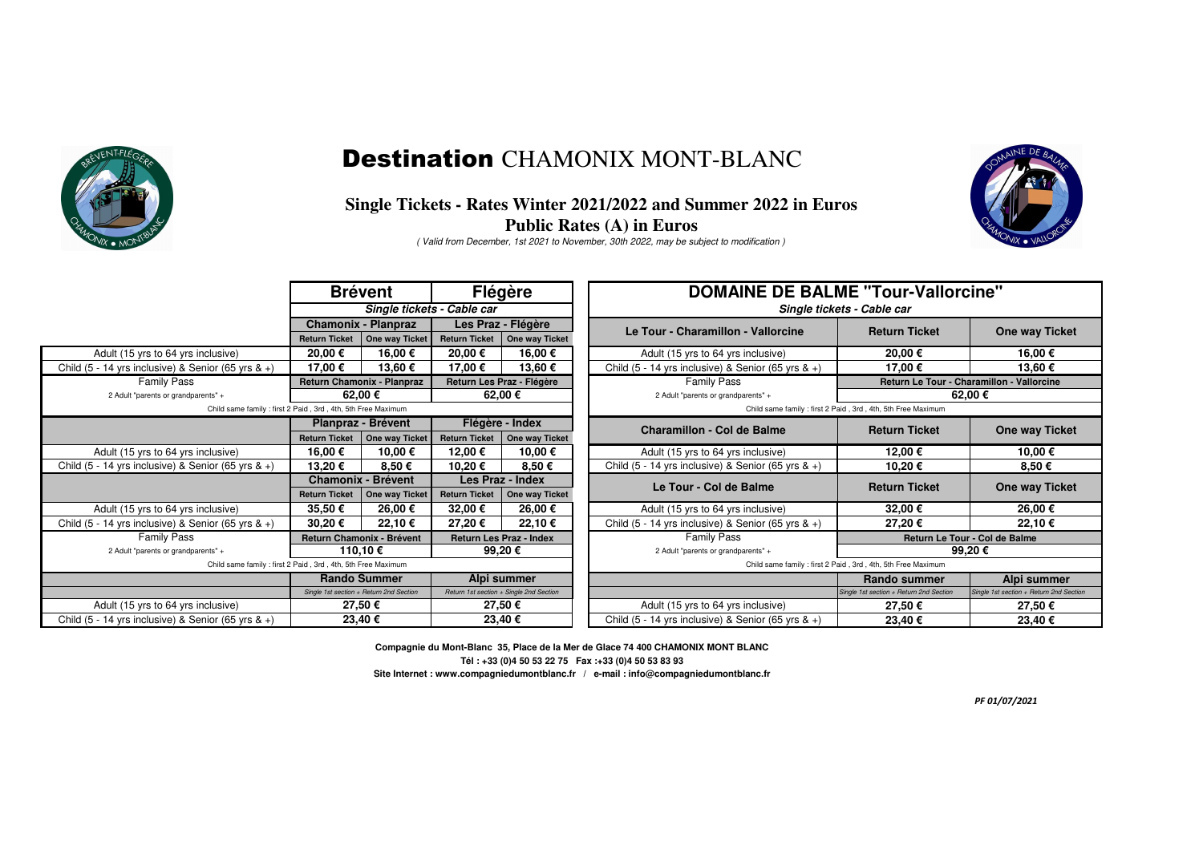

## Destination CHAMONIX MONT-BLANC

#### **Single Tickets - Rates Winter 2021/2022 and Summer 2022 in EurosPublic Rates (A) in Euros**

( Valid from December, 1st 2021 to November, 30th 2022, may be subject to modification )



|                                                                 | Flégère<br><b>Brévent</b>                                   |                    |                                                              | <b>DOMAINE DE BALME "Tour-Vallorcine"</b>             |                                                              |                                           |                                         |  |
|-----------------------------------------------------------------|-------------------------------------------------------------|--------------------|--------------------------------------------------------------|-------------------------------------------------------|--------------------------------------------------------------|-------------------------------------------|-----------------------------------------|--|
|                                                                 | Single tickets - Cable car                                  |                    |                                                              | Single tickets - Cable car                            |                                                              |                                           |                                         |  |
| <b>Chamonix - Planpraz</b>                                      |                                                             | Les Praz - Flégère |                                                              | Le Tour - Charamillon - Vallorcine                    | <b>Return Ticket</b>                                         | One way Ticket                            |                                         |  |
|                                                                 | <b>Return Ticket</b>                                        | One way Ticket     | <b>Return Ticket</b>                                         | One way Ticket                                        |                                                              |                                           |                                         |  |
| Adult (15 yrs to 64 yrs inclusive)                              | 20,00 €                                                     | 16,00 €            | 20,00 €                                                      | 16,00 €                                               | Adult (15 yrs to 64 yrs inclusive)                           | 20,00 €                                   | 16,00€                                  |  |
| Child (5 - 14 yrs inclusive) & Senior (65 yrs & $+$ )           | 17,00 €                                                     | 13,60 €            | 17,00 €                                                      | 13,60€                                                | Child (5 - 14 yrs inclusive) & Senior (65 yrs $\&$ +)        | 17,00 €                                   | 13,60€                                  |  |
| <b>Family Pass</b>                                              | Return Chamonix - Planpraz                                  |                    | Return Les Praz - Flégère                                    |                                                       | <b>Family Pass</b>                                           | Return Le Tour - Charamillon - Vallorcine |                                         |  |
| 2 Adult "parents or grandparents" +                             |                                                             | 62.00€             |                                                              | 62,00€                                                | 2 Adult "parents or grandparents" +                          | 62,00 €                                   |                                         |  |
| Child same family: first 2 Paid, 3rd, 4th, 5th Free Maximum     |                                                             |                    |                                                              |                                                       | Child same family : first 2 Paid, 3rd, 4th, 5th Free Maximum |                                           |                                         |  |
|                                                                 |                                                             | Planpraz - Brévent | Flégère - Index                                              |                                                       | <b>Charamillon - Col de Balme</b>                            | <b>Return Ticket</b>                      | One way Ticket                          |  |
|                                                                 | <b>Return Ticket</b>                                        | One way Ticket     | <b>Return Ticket</b>                                         | One way Ticket                                        |                                                              |                                           |                                         |  |
| Adult (15 yrs to 64 yrs inclusive)                              | 16,00 €                                                     | 10,00 €            | 12,00 €                                                      | 10,00€                                                | Adult (15 yrs to 64 yrs inclusive)                           | 12,00 €                                   | 10,00€                                  |  |
| Child (5 - 14 yrs inclusive) & Senior (65 yrs & +)              | 13,20€                                                      | 8,50€              | 10,20€                                                       | 8,50€                                                 | Child (5 - 14 yrs inclusive) & Senior (65 yrs & +)           | 10,20€                                    | 8,50€                                   |  |
|                                                                 | <b>Chamonix - Brévent</b>                                   |                    | Les Praz - Index                                             |                                                       |                                                              | <b>Return Ticket</b>                      |                                         |  |
|                                                                 | <b>Return Ticket</b>                                        | One way Ticket     | <b>Return Ticket</b>                                         | One way Ticket                                        | Le Tour - Col de Balme                                       |                                           | One way Ticket                          |  |
| Adult (15 yrs to 64 yrs inclusive)                              | 35,50€                                                      | 26,00 €            | 32,00 €                                                      | 26,00€                                                | Adult (15 yrs to 64 yrs inclusive)                           | 32,00 €                                   | 26,00€                                  |  |
| Child $(5 - 14$ yrs inclusive) & Senior $(65$ yrs & +)          | 30,20€                                                      | 22,10 €            | 27,20€                                                       | 22,10€                                                | Child (5 - 14 yrs inclusive) & Senior (65 yrs $\&$ +)        | 27,20€                                    | 22,10€                                  |  |
| <b>Family Pass</b>                                              | <b>Return Les Praz - Index</b><br>Return Chamonix - Brévent |                    | <b>Family Pass</b>                                           | Return Le Tour - Col de Balme                         |                                                              |                                           |                                         |  |
| 110.10€<br>2 Adult "parents or grandparents" +                  |                                                             | 99,20€             |                                                              | 2 Adult "parents or grandparents" +                   | 99,20€                                                       |                                           |                                         |  |
| Child same family : first 2 Paid, 3rd, 4th, 5th Free Maximum    |                                                             |                    | Child same family : first 2 Paid, 3rd, 4th, 5th Free Maximum |                                                       |                                                              |                                           |                                         |  |
|                                                                 | <b>Rando Summer</b>                                         |                    | Alpi summer                                                  |                                                       |                                                              | <b>Rando summer</b>                       | Alpi summer                             |  |
|                                                                 | Single 1st section + Return 2nd Section                     |                    | Return 1st section + Single 2nd Section                      |                                                       |                                                              | Single 1st section + Return 2nd Section   | Single 1st section + Return 2nd Section |  |
| Adult (15 yrs to 64 yrs inclusive)                              | 27,50€                                                      |                    | 27,50€                                                       |                                                       | Adult (15 yrs to 64 yrs inclusive)                           | 27,50€                                    | 27,50€                                  |  |
| 23,40€<br>Child (5 - 14 yrs inclusive) & Senior (65 yrs $\&$ +) |                                                             |                    | 23,40€                                                       | Child (5 - 14 yrs inclusive) & Senior (65 yrs $\&$ +) | 23,40€                                                       | 23,40€                                    |                                         |  |

**Site Internet : www.compagniedumontblanc.fr / e-mail : info@compagniedumontblanc.fr Compagnie du Mont-Blanc 35, Place de la Mer de Glace 74 400 CHAMONIX MONT BLANCTél : +33 (0)4 50 53 22 75 Fax :+33 (0)4 50 53 83 93**

*PF 01/07/2021*